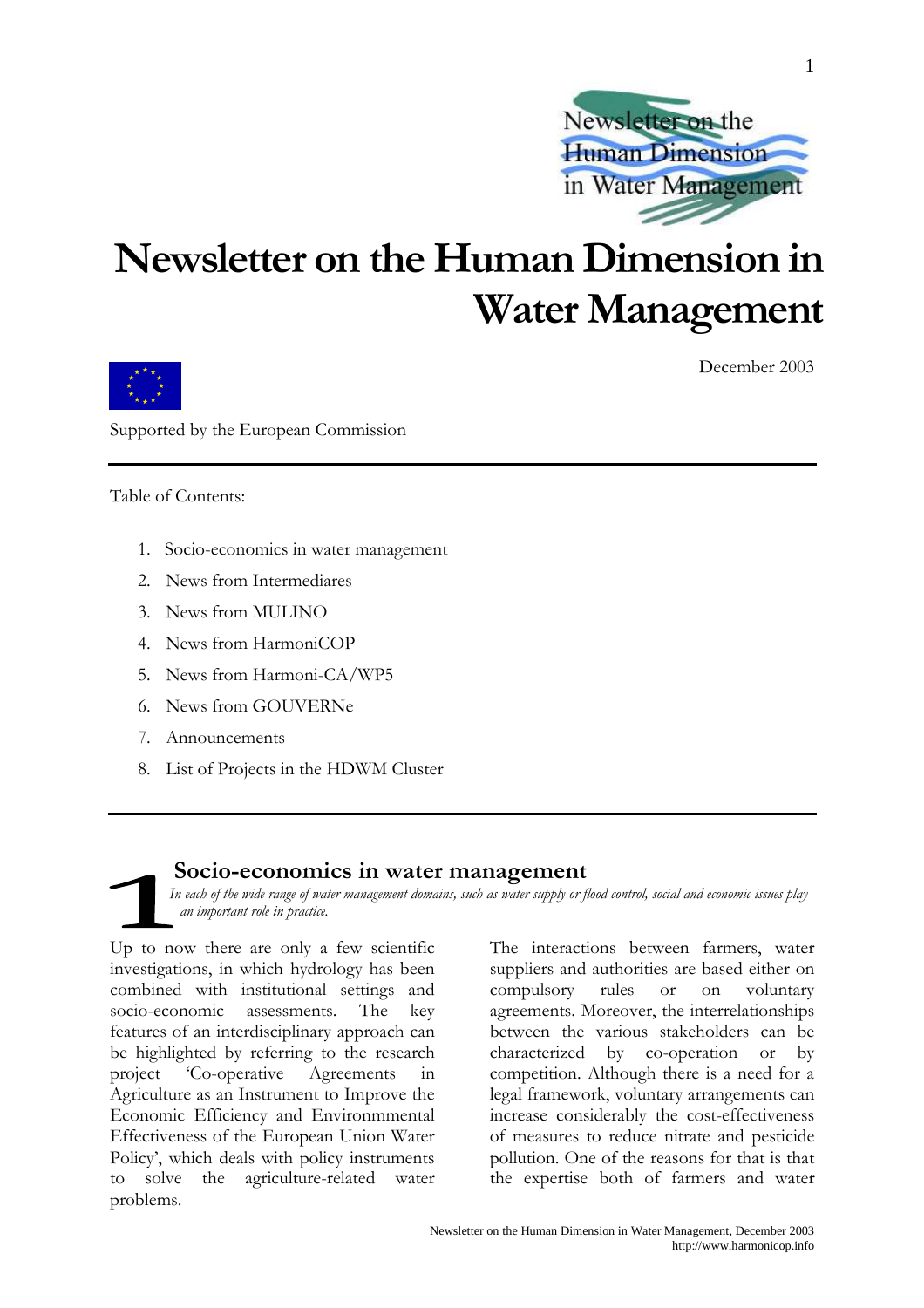

## Newsletter on the Human Dimension in **Water Management**



December 2003

Supported by the European Commission

Table of Contents:

- 1. Socio-economics in water management
- 2. News from Intermediares
- $3$  News from MHLINO
- 4. News from HarmoniCOP
- 5. News from Harmoni-CA/WP5
- 6. News from GOUVERNe
- 7. Announcements
- 8. List of Projects in the HDWM Cluster

#### Socio-economics in water management

In each of the wide range of water management domains, such as water supply or flood control, social and economic issues play an important role in practice.

Up to now there are only a few scientific investigations, in which hydrology has been combined with institutional settings and socio-economic assessments. The key features of an interdisciplinary approach can be highlighted by referring to the research project 'Co-operative Agreements Agriculture as an Instrument to Improve the Economic Efficiency and Environmmental Effectiveness of the European Union Water Policy', which deals with policy instruments to solve the agriculture-related water problems.

The interactions between farmers, water suppliers and authorities are based either on compulsory rules **or** on voluntary agreements. Moreover, the interrelationships between the various stakeholders can be characterized by co-operation or  $\mathbf{b}$ competition. Although there is a need for a legal framework, voluntary arrangements can increase considerably the cost-effectiveness of measures to reduce nitrate and pesticide pollution. One of the reasons for that is that the expertise both of farmers and water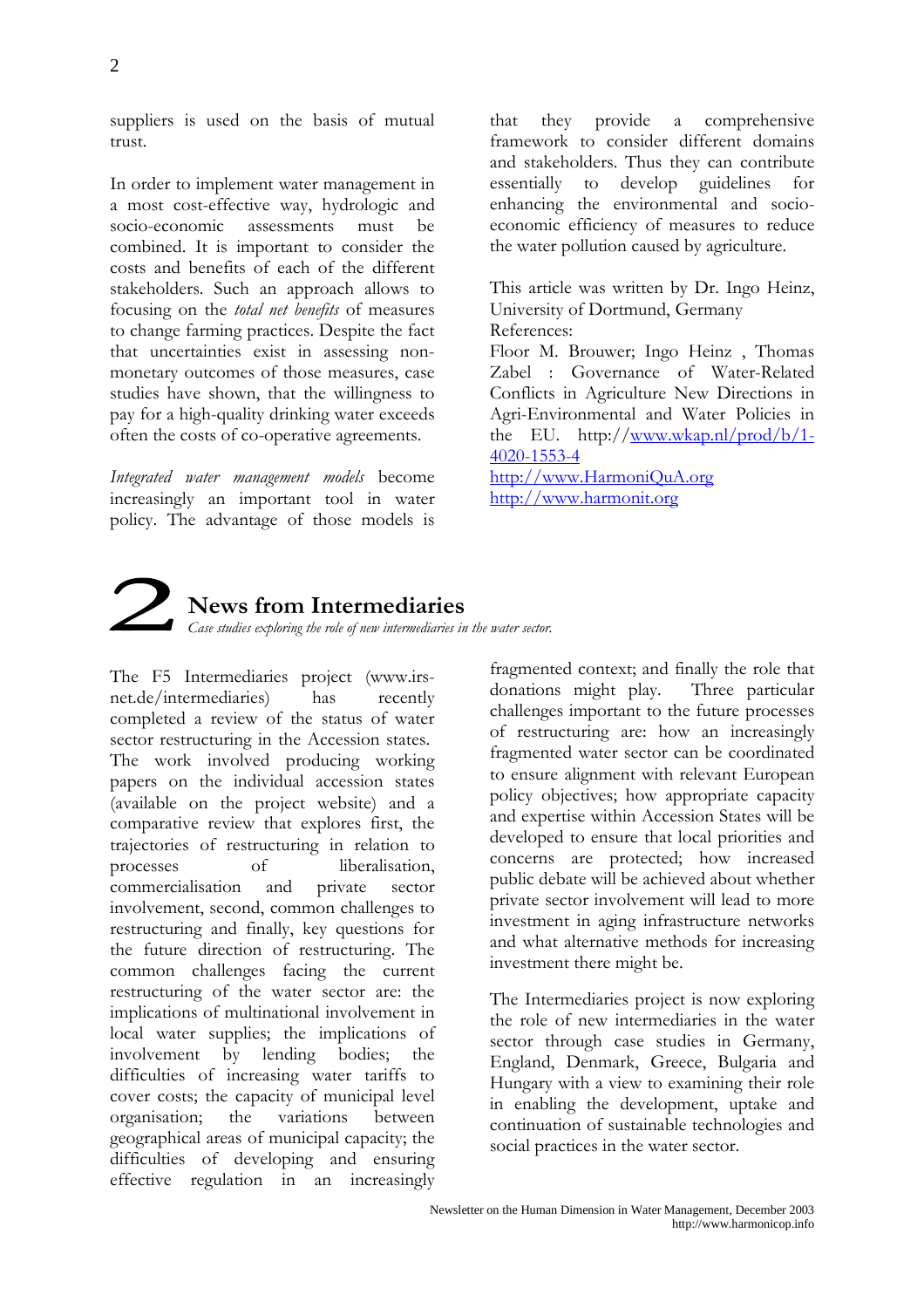suppliers is used on the basis of mutual trust.

In order to implement water management in a most cost-effective way, hydrologic and socio-economic assessments must be combined. It is important to consider the costs and benefits of each of the different stakeholders. Such an approach allows to focusing on the total net benefits of measures to change farming practices. Despite the fact that uncertainties exist in assessing nonmonetary outcomes of those measures, case studies have shown, that the willingness to pay for a high-quality drinking water exceeds often the costs of co-operative agreements.

Integrated water management models become increasingly an important tool in water policy. The advantage of those models is

they provide a comprehensive that framework to consider different domains and stakeholders. Thus they can contribute guidelines develop essentially  $\mathsf{to}$  $for$ enhancing the environmental and socioeconomic efficiency of measures to reduce the water pollution caused by agriculture.

This article was written by Dr. Ingo Heinz. University of Dortmund, Germany References:

Floor M. Brouwer; Ingo Heinz, Thomas Zabel : Governance of Water-Related Conflicts in Agriculture New Directions in Agri-Environmental and Water Policies in the EU. http://www.wkap.nl/prod/b/1- $4020 - 1553 - 4$ 

http://www.HarmoniQuA.org http://www.harmonit.org



### **News from Intermediaries**

Case studies exploring the role of new intermediaries in the water sector.

The F5 Intermediaries project (www.irsnet.de/intermediaries) has recently completed a review of the status of water sector restructuring in the Accession states. The work involved producing working papers on the individual accession states (available on the project website) and a comparative review that explores first, the trajectories of restructuring in relation to  $\alpha$ f liberalisation. processes commercialisation and private sector involvement, second, common challenges to restructuring and finally, key questions for the future direction of restructuring. The common challenges facing the current restructuring of the water sector are: the implications of multinational involvement in local water supplies; the implications of involvement by lending bodies: the difficulties of increasing water tariffs to cover costs; the capacity of municipal level variations organisation; the hetween geographical areas of municipal capacity; the difficulties of developing and ensuring effective regulation in an increasingly

fragmented context; and finally the role that donations might play. Three particular challenges important to the future processes of restructuring are: how an increasingly fragmented water sector can be coordinated to ensure alignment with relevant European policy objectives; how appropriate capacity and expertise within Accession States will be developed to ensure that local priorities and concerns are protected; how increased public debate will be achieved about whether private sector involvement will lead to more investment in aging infrastructure networks and what alternative methods for increasing investment there might be.

The Intermediaries project is now exploring the role of new intermediaries in the water sector through case studies in Germany, England, Denmark, Greece, Bulgaria and Hungary with a view to examining their role in enabling the development, uptake and continuation of sustainable technologies and social practices in the water sector.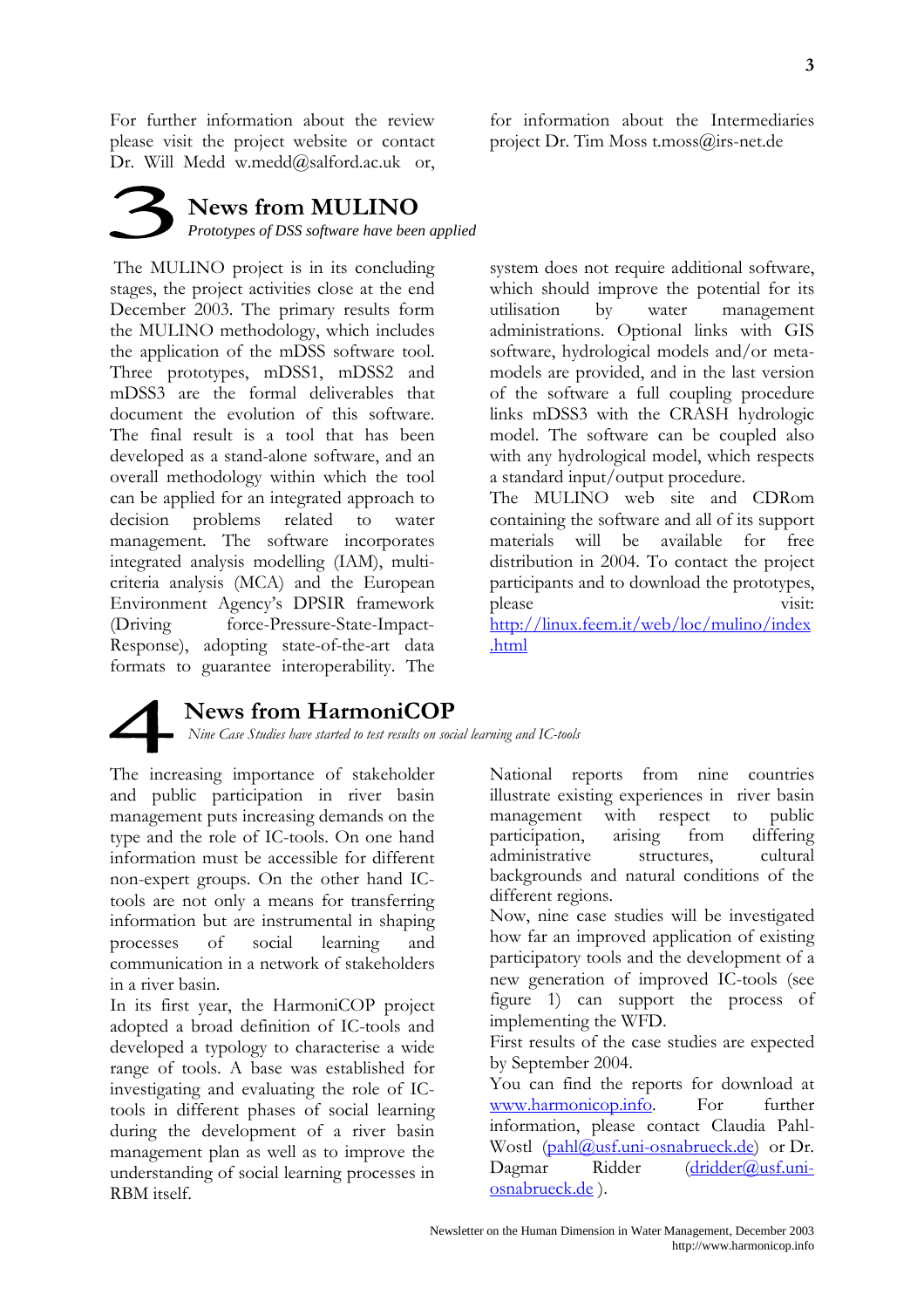For further information about the review please visit the project website or contact Dr. Will Medd w.medd@salford.ac.uk or,

**News from MULINO** Prototypes of DSS software have been applied

The MULINO project is in its concluding stages, the project activities close at the end December 2003. The primary results form the MULINO methodology, which includes the application of the mDSS software tool. Three prototypes, mDSS1, mDSS2 and mDSS3 are the formal deliverables that document the evolution of this software. The final result is a tool that has been developed as a stand-alone software, and an overall methodology within which the tool can be applied for an integrated approach to problems related decision  $\mathsf{to}$ water management. The software incorporates integrated analysis modelling (IAM), multicriteria analysis (MCA) and the European Environment Agency's DPSIR framework force-Pressure-State-Impact-(Driving) Response), adopting state-of-the-art data formats to guarantee interoperability. The

**News from HarmoniCOP**<br>Nine Case Studies have started to test results on social learning and IC-tools

The increasing importance of stakeholder and public participation in river basin management puts increasing demands on the type and the role of IC-tools. On one hand information must be accessible for different non-expert groups. On the other hand ICtools are not only a means for transferring information but are instrumental in shaping processes  $\sigma$ f social learning and communication in a network of stakeholders in a river basin.

In its first year, the HarmoniCOP project adopted a broad definition of IC-tools and developed a typology to characterise a wide range of tools. A base was established for investigating and evaluating the role of ICtools in different phases of social learning during the development of a river basin management plan as well as to improve the understanding of social learning processes in RBM itself.

for information about the Intermediaries project Dr. Tim Moss t.moss@irs-net.de

system does not require additional software, which should improve the potential for its utilisation water management by administrations. Optional links with GIS software, hydrological models and/or metamodels are provided, and in the last version of the software a full coupling procedure links mDSS3 with the CRASH hydrologic model. The software can be coupled also with any hydrological model, which respects a standard input/output procedure. The MULINO web site and CDRom

containing the software and all of its support will be available materials for free distribution in 2004. To contact the project participants and to download the prototypes, please visit: http://linux.feem.it/web/loc/mulino/index

.html

National reports from nine countries illustrate existing experiences in river basin management with respect to public participation, arising from differing administrative structures. cultural backgrounds and natural conditions of the different regions.

Now, nine case studies will be investigated how far an improved application of existing participatory tools and the development of a new generation of improved IC-tools (see figure 1) can support the process of implementing the WFD.

First results of the case studies are expected by September 2004.

You can find the reports for download at www.harmonicop.info. For further information, please contact Claudia Pahl-Wostl (pahl@usf.uni-osnabrueck.de) or Dr.  $dridder(\hat{a})$ usf.uni-Dagmar Ridder osnabrueck.de).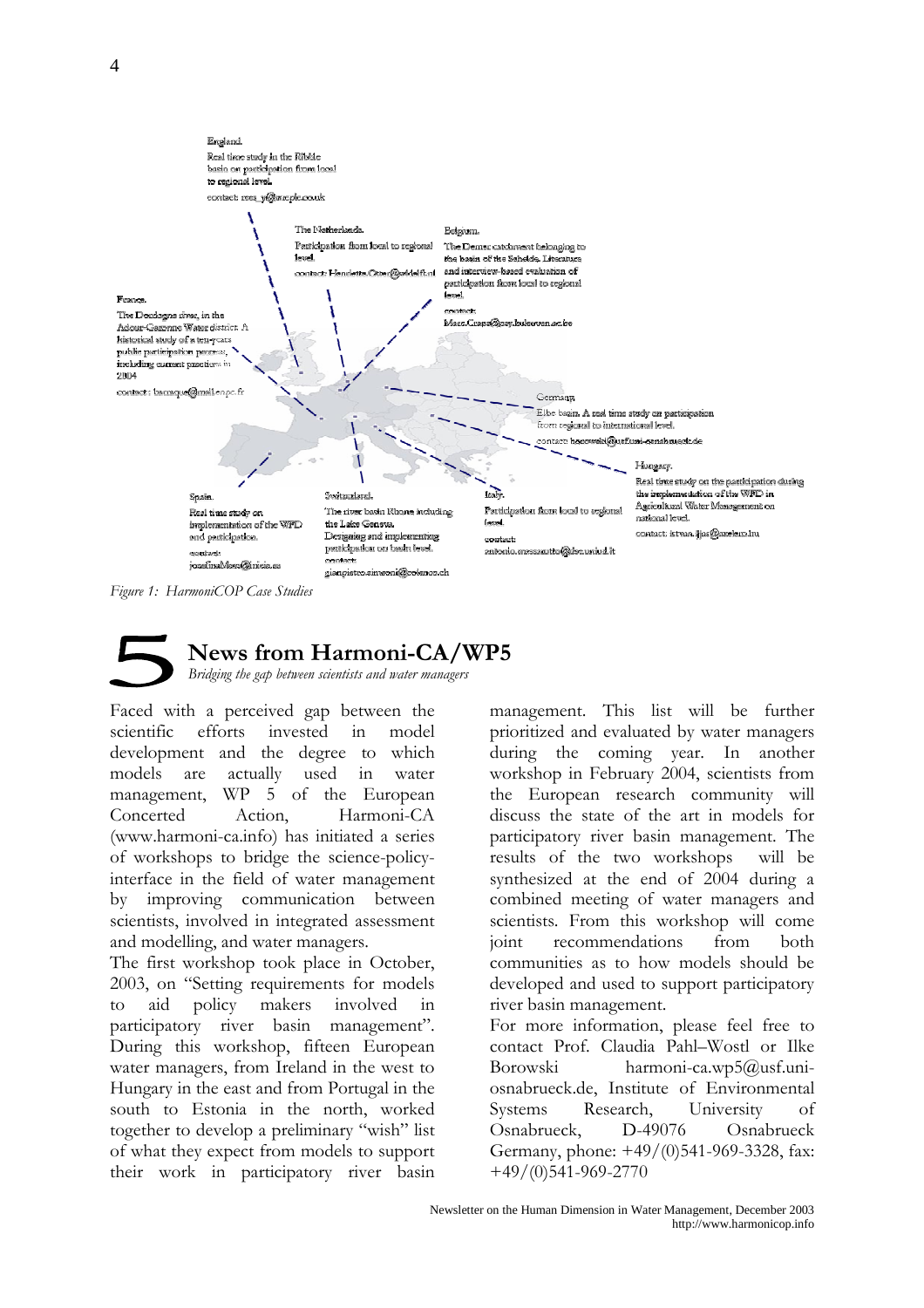

Figure 1: HarmoniCOP Case Studies

## **News from Harmoni-CA/WP5**

Bridging the gap between scientists and water managers

Faced with a perceived gap between the scientific efforts invested  $in$ model development and the degree to which actually models are used  $\overline{\text{in}}$ water management. WP 5 of the European Concerted Harmoni-CA Action. (www.harmoni-ca.info) has initiated a series of workshops to bridge the science-policyinterface in the field of water management improving communication between  $\mathbf{b}$ scientists, involved in integrated assessment and modelling, and water managers.

The first workshop took place in October, 2003, on "Setting requirements for models policy makers involved  $\overline{t}$ aid  $\mathbf{i}$ participatory river basin management". During this workshop, fifteen European water managers, from Ireland in the west to Hungary in the east and from Portugal in the south to Estonia in the north, worked together to develop a preliminary "wish" list of what they expect from models to support their work in participatory river basin management. This list will be further prioritized and evaluated by water managers during the coming year. In another workshop in February 2004, scientists from the European research community will discuss the state of the art in models for participatory river basin management. The results of the two workshops will be synthesized at the end of 2004 during a combined meeting of water managers and scientists. From this workshop will come ioint recommendations from both communities as to how models should be developed and used to support participatory river basin management.

For more information, please feel free to contact Prof. Claudia Pahl-Wostl or Ilke harmoni-ca.wp5@usf.uni-**Borowski** osnabrueck.de, Institute of Environmental Systems Research, University  $\alpha$ f Osnabrueck, D-49076 Osnabrueck Germany, phone: +49/(0)541-969-3328, fax:  $+49/(0)541-969-2770$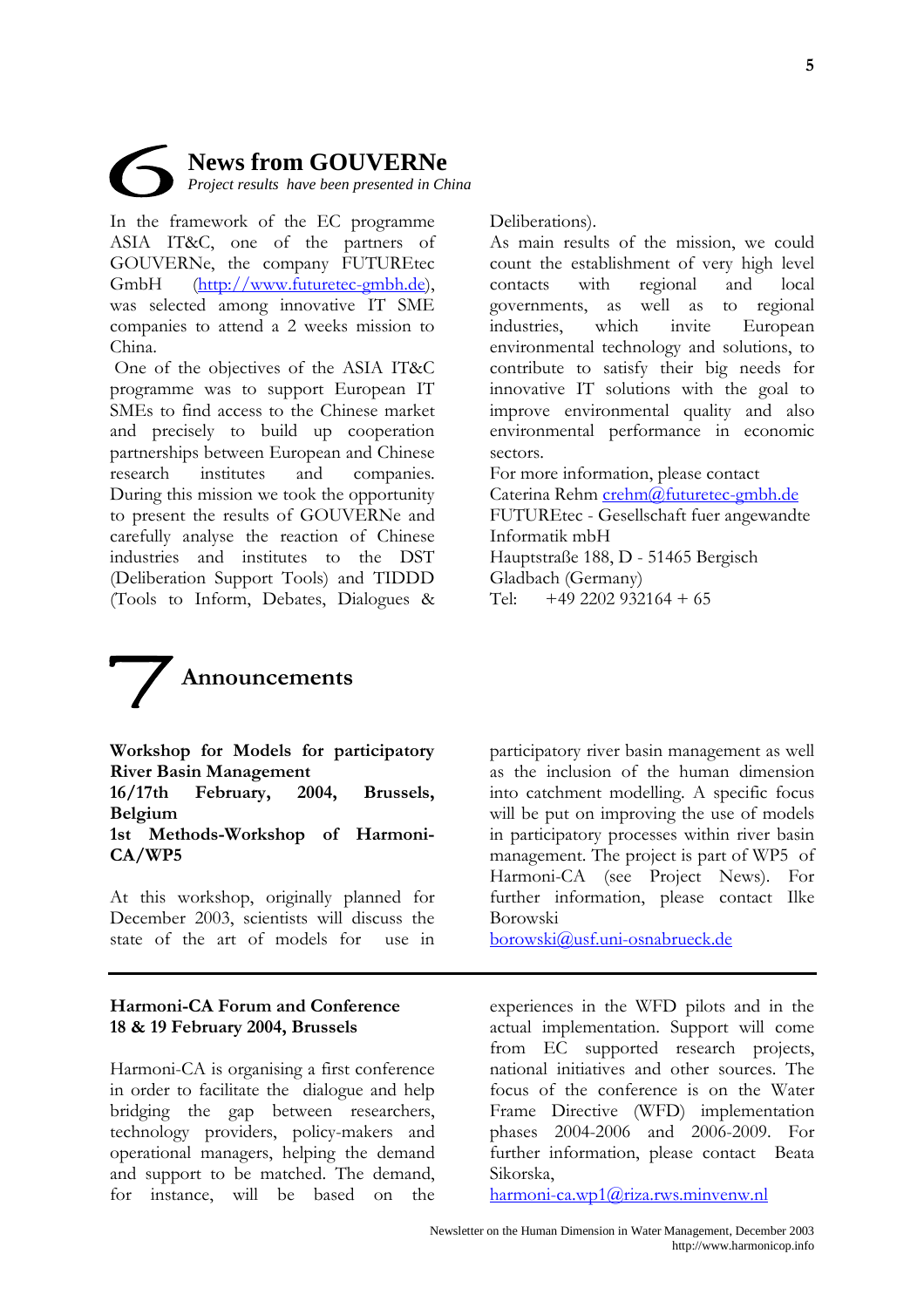

In the framework of the EC programme ASIA IT&C, one of the partners of GOUVERNe, the company FUTUREtec (http://www.futuretec-gmbh.de).  $GmhH$ was selected among innovative IT SME companies to attend a 2 weeks mission to China.

One of the objectives of the ASIA IT&C programme was to support European IT SMEs to find access to the Chinese market and precisely to build up cooperation partnerships between European and Chinese institutes and research companies. During this mission we took the opportunity to present the results of GOUVERNe and carefully analyse the reaction of Chinese industries and institutes to the DST (Deliberation Support Tools) and TIDDD (Tools to Inform, Debates, Dialogues &

Deliberations).

As main results of the mission, we could count the establishment of very high level with regional **contacts** and  $local$ governments, as well as to regional which invite industries, European environmental technology and solutions, to contribute to satisfy their big needs for innovative IT solutions with the goal to improve environmental quality and also environmental performance in economic sectors. For more information, please contact Caterina Rehm crehm@futuretec-gmbh.de FUTUREtec - Gesellschaft fuer angewandte Informatik mbH

Hauptstraße 188, D - 51465 Bergisch Gladbach (Germany)  $+49$  2202 932164 + 65  $Tel:$ 



Workshop for Models for participatory **River Basin Management** 

 $16/17$ th February, 2004. Brussels, Belgium

#### 1st Methods-Workshop of Harmoni- $CA/WP5$

At this workshop, originally planned for December 2003, scientists will discuss the state of the art of models for  $use$  in

#### **Harmoni-CA Forum and Conference** 18 & 19 February 2004, Brussels

Harmoni-CA is organising a first conference in order to facilitate the dialogue and help bridging the gap between researchers, technology providers, policy-makers and operational managers, helping the demand and support to be matched. The demand, for instance, will be based on the

participatory river basin management as well as the inclusion of the human dimension into catchment modelling. A specific focus will be put on improving the use of models in participatory processes within river basin management. The project is part of WP5 of Harmoni-CA (see Project News). For further information, please contact Ilke Borowski

borowski@usf.uni-osnabrueck.de

experiences in the WFD pilots and in the actual implementation. Support will come from EC supported research projects, national initiatives and other sources. The focus of the conference is on the Water Frame Directive (WFD) implementation phases 2004-2006 and 2006-2009. For further information, please contact Beata Sikorska,

 $harmoni-ca.wp1@riza.rws.minvenw.nl$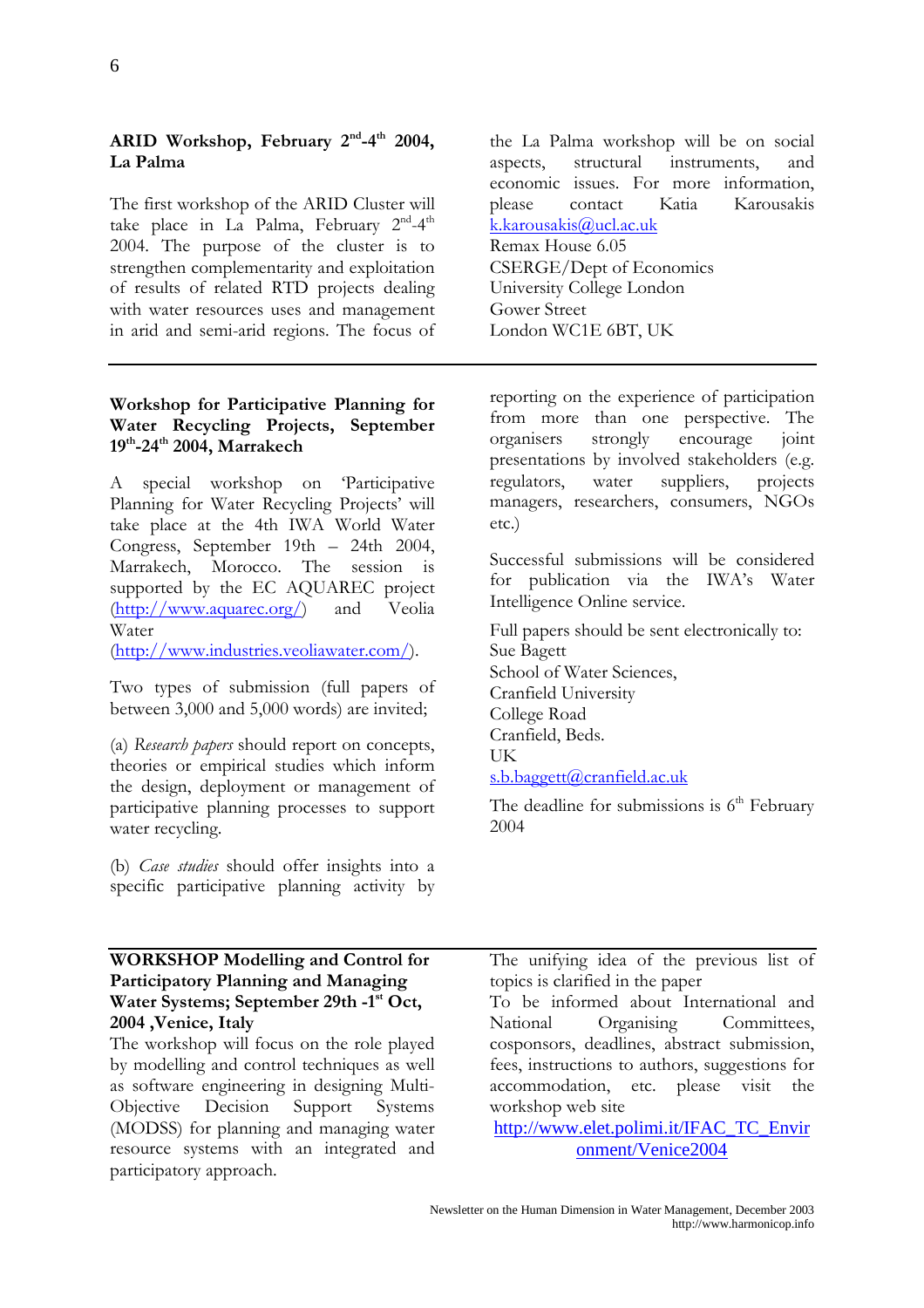#### ARID Workshop, February 2<sup>nd</sup>-4<sup>th</sup> 2004, La Palma

The first workshop of the ARID Cluster will take place in La Palma, February 2<sup>nd</sup>-4<sup>th</sup> 2004. The purpose of the cluster is to strengthen complementarity and exploitation of results of related RTD projects dealing with water resources uses and management in arid and semi-arid regions. The focus of

#### Workshop for Participative Planning for Water Recycling Projects, September 19th-24th 2004, Marrakech

A special workshop on Participative Planning for Water Recycling Projects' will take place at the 4th IWA World Water Congress, September 19th - 24th 2004, Marrakech, Morocco. The session is supported by the EC AQUAREC project  $(\frac{http://www.aquare.org/}{$ Veolia and Water

(http://www.industries.veoliawater.com/).

Two types of submission (full papers of between 3,000 and 5,000 words) are invited;

(a) Research papers should report on concepts, theories or empirical studies which inform the design, deployment or management of participative planning processes to support water recycling.

(b) Case studies should offer insights into a specific participative planning activity by

the La Palma workshop will be on social structural instruments. aspects. and economic issues. For more information. please Katia Karousakis contact k.karousakis@ucl.ac.uk Remax House 6.05 CSERGE/Dept of Economics University College London **Gower Street** London WC1E 6BT, UK

reporting on the experience of participation from more than one perspective. The encourage organisers strongly joint presentations by involved stakeholders (e.g. regulators, water suppliers, projects managers, researchers, consumers, NGOs  $etc.$ )

Successful submissions will be considered for publication via the IWA's Water Intelligence Online service.

Full papers should be sent electronically to: Sue Bagett School of Water Sciences, Cranfield University College Road Cranfield, Beds. **IK** s.b.baggett@cranfield.ac.uk

The deadline for submissions is  $6<sup>th</sup>$  February 2004

#### **WORKSHOP Modelling and Control for** Participatory Planning and Managing Water Systems; September 29th -1<sup>st</sup> Oct, 2004 , Venice, Italy

The workshop will focus on the role played by modelling and control techniques as well as software engineering in designing Multi-Objective Decision Support Systems (MODSS) for planning and managing water resource systems with an integrated and participatory approach.

The unifying idea of the previous list of topics is clarified in the paper

To be informed about International and National Organising Committees, cosponsors, deadlines, abstract submission, fees, instructions to authors, suggestions for accommodation. etc. please visit the workshop web site

http://www.elet.polimi.it/IFAC TC Envir onment/Venice2004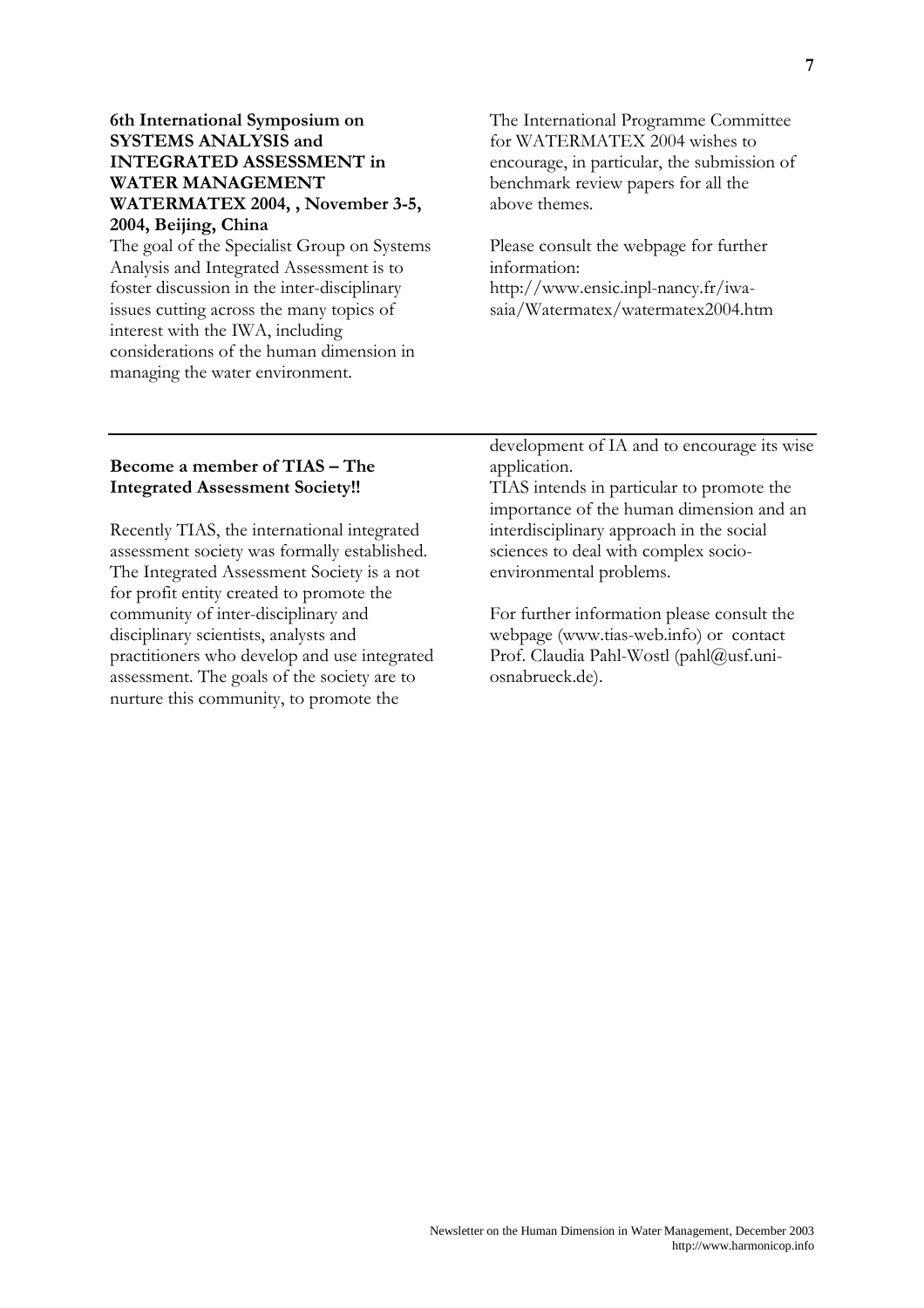#### 6th International Symposium on **SYSTEMS ANALYSIS and INTEGRATED ASSESSMENT in WATER MANAGEMENT** WATERMATEX 2004, , November 3-5, 2004, Beijing, China

The goal of the Specialist Group on Systems Analysis and Integrated Assessment is to foster discussion in the inter-disciplinary issues cutting across the many topics of interest with the IWA, including considerations of the human dimension in managing the water environment.

The International Programme Committee for WATERMATEX 2004 wishes to encourage, in particular, the submission of benchmark review papers for all the above themes.

Please consult the webpage for further information: http://www.ensic.inpl-nancy.fr/iwasaia/Watermatex/watermatex2004.htm

#### Become a member of TIAS – The **Integrated Assessment Society!!**

Recently TIAS, the international integrated assessment society was formally established. The Integrated Assessment Society is a not for profit entity created to promote the community of inter-disciplinary and disciplinary scientists, analysts and practitioners who develop and use integrated assessment. The goals of the society are to nurture this community, to promote the

development of IA and to encourage its wise application.

TIAS intends in particular to promote the importance of the human dimension and an interdisciplinary approach in the social sciences to deal with complex socioenvironmental problems.

For further information please consult the webpage (www.tias-web.info) or contact Prof. Claudia Pahl-Wostl (pahl@usf.uniosnabrueck.de).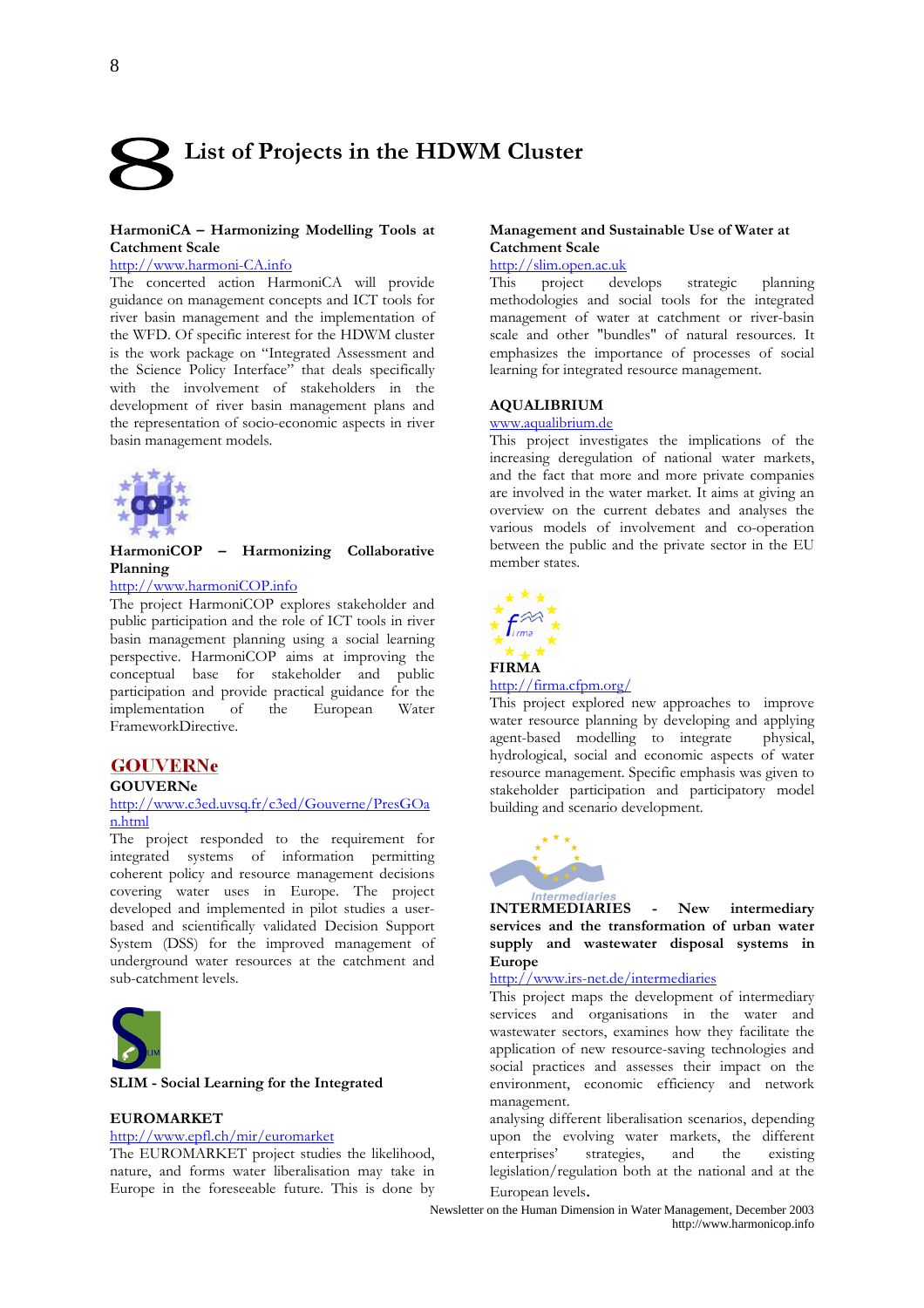# List of Projects in the HDWM Cluster

#### HarmoniCA - Harmonizing Modelling Tools at **Catchment Scale**

#### http://www.harmoni-CA.info

The concerted action HarmoniCA will provide guidance on management concepts and ICT tools for river basin management and the implementation of the WFD. Of specific interest for the HDWM cluster is the work package on "Integrated Assessment and the Science Policy Interface" that deals specifically with the involvement of stakeholders in the development of river basin management plans and the representation of socio-economic aspects in river basin management models.



HarmoniCOP - Harmonizing Collaborative Planning

#### http://www.harmoniCOP.info

The project HarmoniCOP explores stakeholder and public participation and the role of ICT tools in river basin management planning using a social learning perspective. HarmoniCOP aims at improving the conceptual base for stakeholder and public participation and provide practical guidance for the implementation of the European Water FrameworkDirective.

#### **GOUVERNe**

#### **GOUVERNe**

#### http://www.c3ed.uvsq.fr/c3ed/Gouverne/PresGOa n.html

The project responded to the requirement for integrated systems of information permitting coherent policy and resource management decisions covering water uses in Europe. The project developed and implemented in pilot studies a userbased and scientifically validated Decision Support System (DSS) for the improved management of underground water resources at the catchment and sub-catchment levels.



#### SLIM - Social Learning for the Integrated

#### **EUROMARKET**

#### http://www.epfl.ch/mir/euromarket

The EUROMARKET project studies the likelihood, nature, and forms water liberalisation may take in Europe in the foreseeable future. This is done by

#### Management and Sustainable Use of Water at **Catchment Scale**

#### http://slim.open.ac.uk

This project develops strategic planning methodologies and social tools for the integrated management of water at catchment or river-basin scale and other "bundles" of natural resources. It emphasizes the importance of processes of social learning for integrated resource management.

#### **AQUALIBRIUM**

#### www.aqualibrium.de

This project investigates the implications of the increasing deregulation of national water markets, and the fact that more and more private companies are involved in the water market. It aims at giving an overview on the current debates and analyses the various models of involvement and co-operation between the public and the private sector in the EU member states.



#### $http://firma.cfpm.org/$

This project explored new approaches to improve water resource planning by developing and applying physical. agent-based modelling to integrate hydrological, social and economic aspects of water resource management. Specific emphasis was given to stakeholder participation and participatory model building and scenario development.



**INTERMEDIARIES** New intermediary  $\mathbb{R}^2$ services and the transformation of urban water supply and wastewater disposal systems in **Europe** 

#### http://www.irs-net.de/intermediaries

This project maps the development of intermediary services and organisations in the water and wastewater sectors, examines how they facilitate the application of new resource-saving technologies and social practices and assesses their impact on the environment, economic efficiency and network management.

analysing different liberalisation scenarios, depending upon the evolving water markets, the different enterprises' and the strategies, existing legislation/regulation both at the national and at the European levels.

Newsletter on the Human Dimension in Water Management, December 2003 http://www.harmonicop.info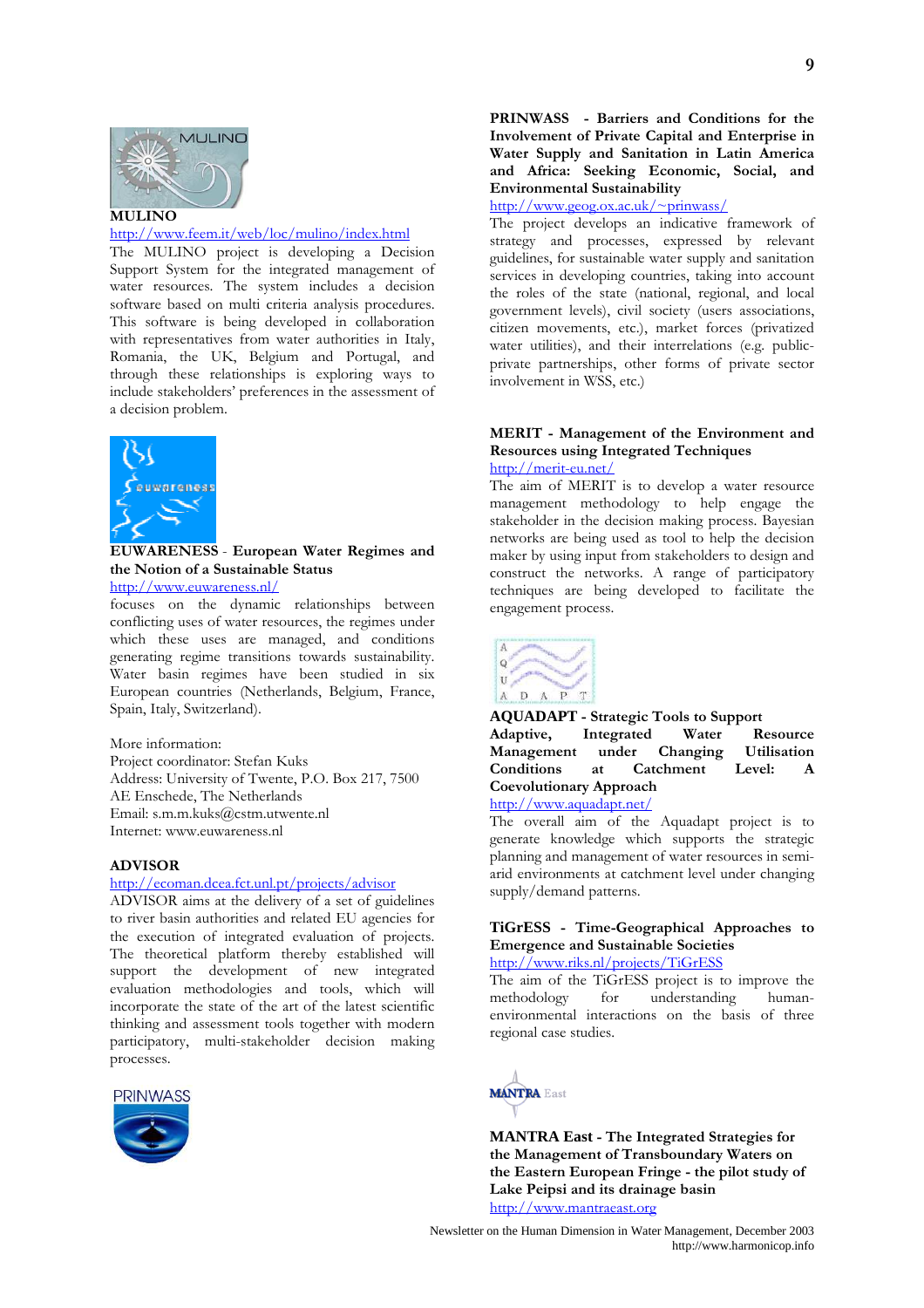

#### http://www.feem.it/web/loc/mulino/index.html

The MULINO project is developing a Decision Support System for the integrated management of water resources. The system includes a decision software based on multi criteria analysis procedures. This software is being developed in collaboration with representatives from water authorities in Italy, Romania, the UK, Belgium and Portugal, and through these relationships is exploring ways to include stakeholders' preferences in the assessment of a decision problem.



**EUWARENESS** - European Water Regimes and the Notion of a Sustainable Status

http://www.euwareness.nl/

focuses on the dynamic relationships between conflicting uses of water resources, the regimes under which these uses are managed, and conditions generating regime transitions towards sustainability. Water basin regimes have been studied in six European countries (Netherlands, Belgium, France, Spain, Italy, Switzerland).

More information:

Project coordinator: Stefan Kuks Address: University of Twente, P.O. Box 217, 7500 AE Enschede, The Netherlands Email: s.m.m.kuks@cstm.utwente.nl Internet: www.euwareness.nl

#### **ADVISOR**

#### http://ecoman.dcea.fct.unl.pt/projects/advisor

ADVISOR aims at the delivery of a set of guidelines to river basin authorities and related EU agencies for the execution of integrated evaluation of projects. The theoretical platform thereby established will support the development of new integrated evaluation methodologies and tools, which will incorporate the state of the art of the latest scientific thinking and assessment tools together with modern participatory, multi-stakeholder decision making processes.



PRINWASS - Barriers and Conditions for the Involvement of Private Capital and Enterprise in Water Supply and Sanitation in Latin America and Africa: Seeking Economic, Social, and **Environmental Sustainability** 

 $\frac{\text{http://www.eeog.ox.ac.uk/~prinwass/}}{}$ 

The project develops an indicative framework of strategy and processes, expressed by relevant guidelines, for sustainable water supply and sanitation services in developing countries, taking into account the roles of the state (national, regional, and local government levels), civil society (users associations, citizen movements, etc.), market forces (privatized water utilities), and their interrelations (e.g. publicprivate partnerships, other forms of private sector involvement in WSS, etc.)

#### MERIT - Management of the Environment and **Resources using Integrated Techniques** http://merit-eu.net/

The aim of MERIT is to develop a water resource management methodology to help engage the stakeholder in the decision making process. Bayesian networks are being used as tool to help the decision maker by using input from stakeholders to design and construct the networks. A range of participatory techniques are being developed to facilitate the engagement process.



#### **AQUADAPT** - Strategic Tools to Support Adaptive, Integrated Water Resource Changing Management under **Utilisation** Conditions <sub>at</sub> Catchment Level: **Coevolutionary Approach** http://www.aquadapt.net/

The overall aim of the Aquadapt project is to generate knowledge which supports the strategic planning and management of water resources in semiarid environments at catchment level under changing supply/demand patterns.

#### TiGrESS - Time-Geographical Approaches to Emergence and Sustainable Societies

http://www.riks.nl/projects/TiGrESS

The aim of the TiGrESS project is to improve the methodology understanding human $for$ environmental interactions on the basis of three regional case studies.



**MANTRA East - The Integrated Strategies for** the Management of Transboundary Waters on the Eastern European Fringe - the pilot study of Lake Peipsi and its drainage basin http://www.mantraeast.org

Newsletter on the Human Dimension in Water Management, December 2003 http://www.harmonicop.info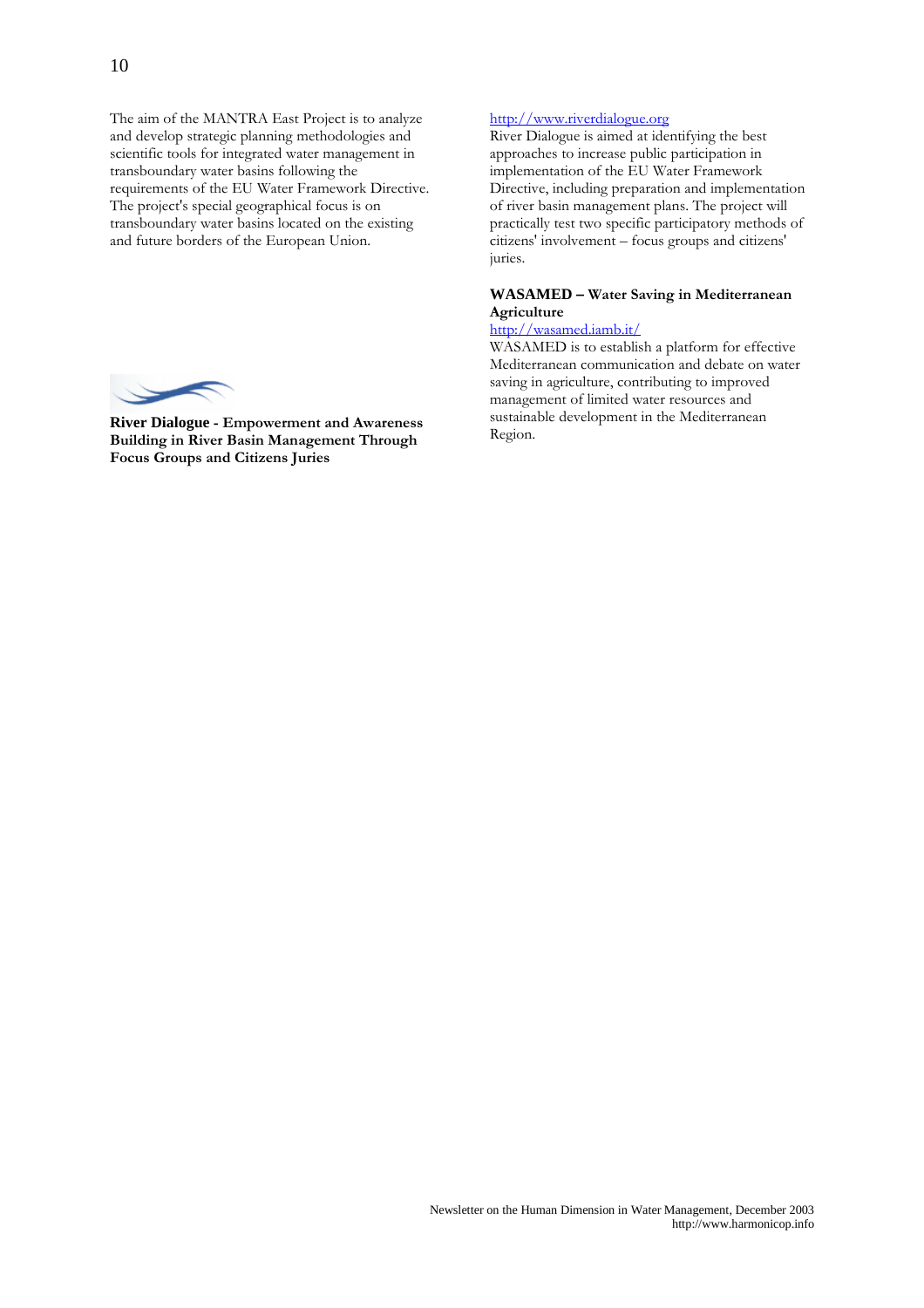The aim of the MANTRA East Project is to analyze and develop strategic planning methodologies and scientific tools for integrated water management in transboundary water basins following the requirements of the EU Water Framework Directive. The project's special geographical focus is on transboundary water basins located on the existing and future borders of the European Union.



**River Dialogue - Empowerment and Awareness Building in River Basin Management Through Focus Groups and Citizens Juries** 

#### http://www.riverdialogue.org

River Dialogue is aimed at identifying the best approaches to increase public participation in implementation of the EU Water Framework Directive, including preparation and implementation of river basin management plans. The project will practically test two specific participatory methods of citizens' involvement - focus groups and citizens' juries.

#### **WASAMED - Water Saving in Mediterranean** Agriculture

#### http://wasamed.iamb.it/

WASAMED is to establish a platform for effective Mediterranean communication and debate on water saving in agriculture, contributing to improved management of limited water resources and sustainable development in the Mediterranean Region.